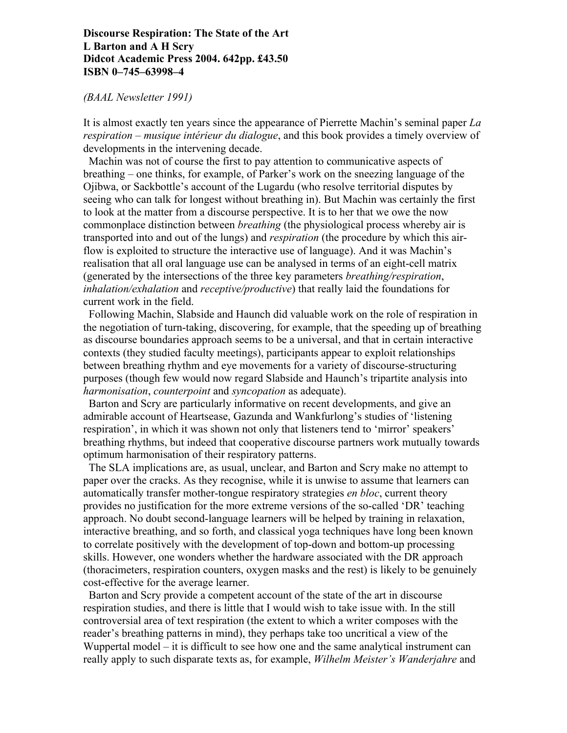## **Discourse Respiration: The State of the Art L Barton and A H Scry Didcot Academic Press 2004. 642pp. £43.50 ISBN 0–745–63998–4**

## *(BAAL Newsletter 1991)*

It is almost exactly ten years since the appearance of Pierrette Machin's seminal paper *La respiration – musique intérieur du dialogue*, and this book provides a timely overview of developments in the intervening decade.

 Machin was not of course the first to pay attention to communicative aspects of breathing – one thinks, for example, of Parker's work on the sneezing language of the Ojibwa, or Sackbottle's account of the Lugardu (who resolve territorial disputes by seeing who can talk for longest without breathing in). But Machin was certainly the first to look at the matter from a discourse perspective. It is to her that we owe the now commonplace distinction between *breathing* (the physiological process whereby air is transported into and out of the lungs) and *respiration* (the procedure by which this airflow is exploited to structure the interactive use of language). And it was Machin's realisation that all oral language use can be analysed in terms of an eight-cell matrix (generated by the intersections of the three key parameters *breathing/respiration*, *inhalation/exhalation* and *receptive/productive*) that really laid the foundations for current work in the field.

 Following Machin, Slabside and Haunch did valuable work on the role of respiration in the negotiation of turn-taking, discovering, for example, that the speeding up of breathing as discourse boundaries approach seems to be a universal, and that in certain interactive contexts (they studied faculty meetings), participants appear to exploit relationships between breathing rhythm and eye movements for a variety of discourse-structuring purposes (though few would now regard Slabside and Haunch's tripartite analysis into *harmonisation*, *counterpoint* and *syncopation* as adequate).

 Barton and Scry are particularly informative on recent developments, and give an admirable account of Heartsease, Gazunda and Wankfurlong's studies of 'listening respiration', in which it was shown not only that listeners tend to 'mirror' speakers' breathing rhythms, but indeed that cooperative discourse partners work mutually towards optimum harmonisation of their respiratory patterns.

 The SLA implications are, as usual, unclear, and Barton and Scry make no attempt to paper over the cracks. As they recognise, while it is unwise to assume that learners can automatically transfer mother-tongue respiratory strategies *en bloc*, current theory provides no justification for the more extreme versions of the so-called 'DR' teaching approach. No doubt second-language learners will be helped by training in relaxation, interactive breathing, and so forth, and classical yoga techniques have long been known to correlate positively with the development of top-down and bottom-up processing skills. However, one wonders whether the hardware associated with the DR approach (thoracimeters, respiration counters, oxygen masks and the rest) is likely to be genuinely cost-effective for the average learner.

 Barton and Scry provide a competent account of the state of the art in discourse respiration studies, and there is little that I would wish to take issue with. In the still controversial area of text respiration (the extent to which a writer composes with the reader's breathing patterns in mind), they perhaps take too uncritical a view of the Wuppertal model – it is difficult to see how one and the same analytical instrument can really apply to such disparate texts as, for example, *Wilhelm Meister's Wanderjahre* and